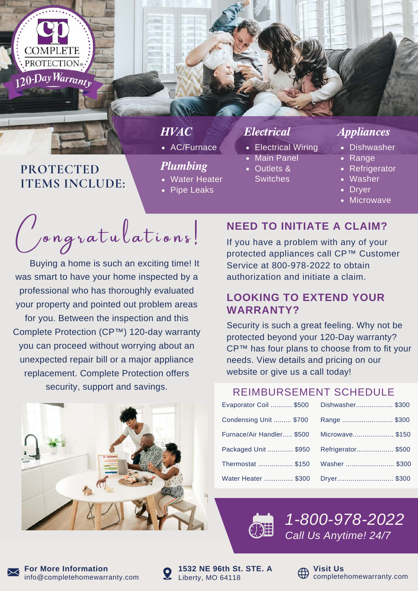

## **PROTECTED ITEMS INCLUDE:**

# **HVAC**

AC/Furnace

### Plumbing

- Water Heater
- Pipe Leaks

- Electrical Wiring
- Main Panel
- Outlets & **Switches**

### Electrical Appliances

- Dishwasher
- Range
- Refrigerator
- Washer
- **Dryer**
- Microwave

*Congratulations!* 

 Buying a home is such an exciting time! It was smart to have your home inspected by a professional who has thoroughly evaluated your property and pointed out problem areas for you. Between the inspection and this Complete Protection (CP™) 120-day warranty you can proceed without worrying about an unexpected repair bill or a major appliance replacement. Complete Protection offers security, support and savings.



### **NEED TO INITIATE A CLAIM?**

If you have a problem with any of your protected appliances call CP™ Customer Service at 800-978-2022 to obtain authorization and initiate a claim.

### **LOOKING TO EXTEND YOUR WARRANTY?**

Security is such a great feeling. Why not be protected beyond your 120-Day warranty? CP™ has four plans to choose from to fit your needs. View details and pricing on our website or give us a call today!

### REIMBURSEMENT SCHEDULE

| Evaporator Coil  \$500    | Dishwasher \$300  |
|---------------------------|-------------------|
| Condensing Unit  \$700    | Range  \$300      |
| Furnace/Air Handler \$500 | Microwave\$150    |
| Packaged Unit  \$950      | Refrigerator\$500 |
| Thermostat  \$150         | Washer  \$300     |
| Water Heater  \$300       |                   |



*1-800-978-2022 Call Us Anytime! 24/7*



info@completehomewarranty.com **For More Information**



**Q** Liberty, MO 64118 **1532 NE 96th St. STE. A**